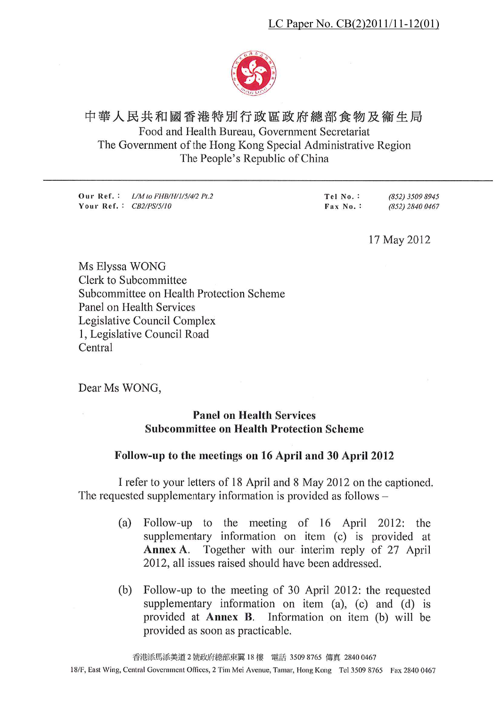

# 中華人民共和國香港特別行政區政府總部食物及衞生局 Food and Health Bureau, Government Secretariat The Government of the Hong Kong Special Administrative Region The People's Republic of China

(852) 3509 8945 Our Ref.: *L/M to FHB/H/1/5/4/2 Pt.2* Tel No.: Tel No. :<br>Fax No. : Your Ref.: CB2/PS/5/10 (852) 2840 0467

17 May 2012

Ms Elyssa WONG Clerk to Subcommittee Subcommittee on Health Protection Scheme Panel on Health Services Legislative Council Complex 1, Legislative Council Road Central

Dear Ms WONG,

## **Panel on Health Services Subcommittee on Health Protection Scheme**

## Follow-up to the meetings on 16 April and 30 April 2012

I refer to your letters of 18 April and 8 May 2012 on the captioned. The requested supplementary information is provided as follows -

- Follow-up to the meeting of 16 April 2012:  $(a)$ the supplementary information on item (c) is provided at Together with our interim reply of 27 April Annex A. 2012, all issues raised should have been addressed.
- Follow-up to the meeting of 30 April 2012: the requested (b) supplementary information on item (a), (c) and (d) is provided at Annex B. Information on item (b) will be provided as soon as practicable.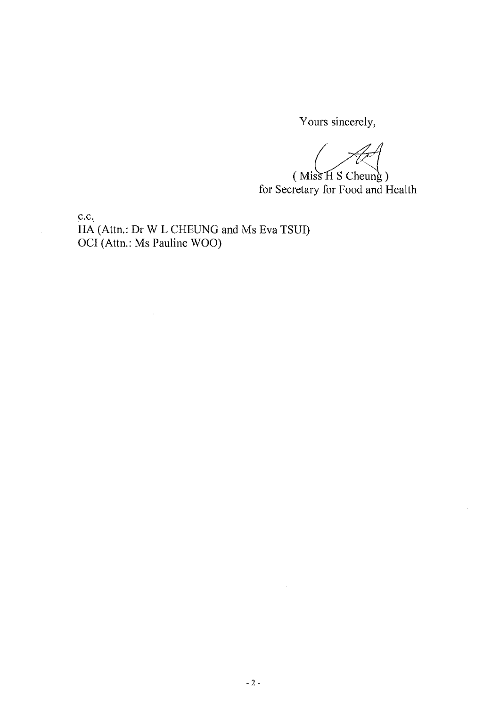Yours sincerely,

 $(Miss H S Cheung)$ for Secretary for Food and Health

 $c.c.$ 

 $\bar{z}$ 

HA (Attn.: Dr W L CHEUNG and Ms Eva TSUI) OCI (Attn.: Ms Pauline WOO)

 $\bar{z}$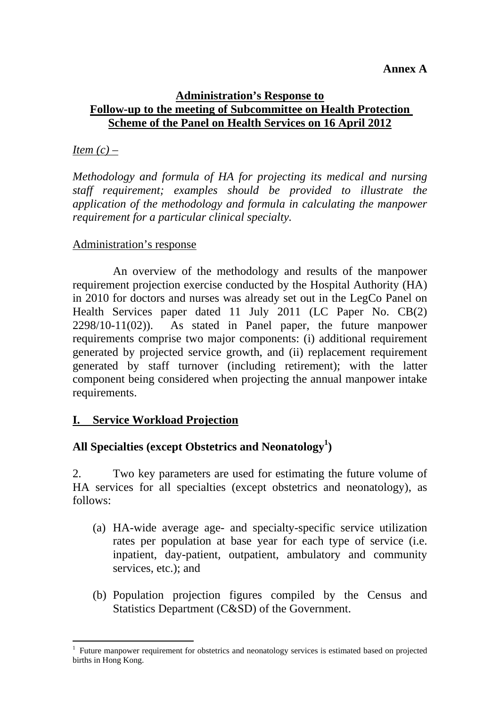#### **Annex A**

## **Administration's Response to Follow-up to the meeting of Subcommittee on Health Protection Scheme of the Panel on Health Services on 16 April 2012**

## *Item (c) –*

*Methodology and formula of HA for projecting its medical and nursing staff requirement; examples should be provided to illustrate the application of the methodology and formula in calculating the manpower requirement for a particular clinical specialty.* 

## Administration's response

 An overview of the methodology and results of the manpower requirement projection exercise conducted by the Hospital Authority (HA) in 2010 for doctors and nurses was already set out in the LegCo Panel on Health Services paper dated 11 July 2011 (LC Paper No. CB(2) 2298/10-11(02)). As stated in Panel paper, the future manpower requirements comprise two major components: (i) additional requirement generated by projected service growth, and (ii) replacement requirement generated by staff turnover (including retirement); with the latter component being considered when projecting the annual manpower intake requirements.

## **I. Service Workload Projection**

# All Specialties (except Obstetrics and Neonatology<sup>1</sup>)

2. Two key parameters are used for estimating the future volume of HA services for all specialties (except obstetrics and neonatology), as follows:

- (a) HA-wide average age- and specialty-specific service utilization rates per population at base year for each type of service (i.e. inpatient, day-patient, outpatient, ambulatory and community services, etc.); and
- (b) Population projection figures compiled by the Census and Statistics Department (C&SD) of the Government.

 $\overline{a}$ <sup>1</sup> Future manpower requirement for obstetrics and neonatology services is estimated based on projected births in Hong Kong.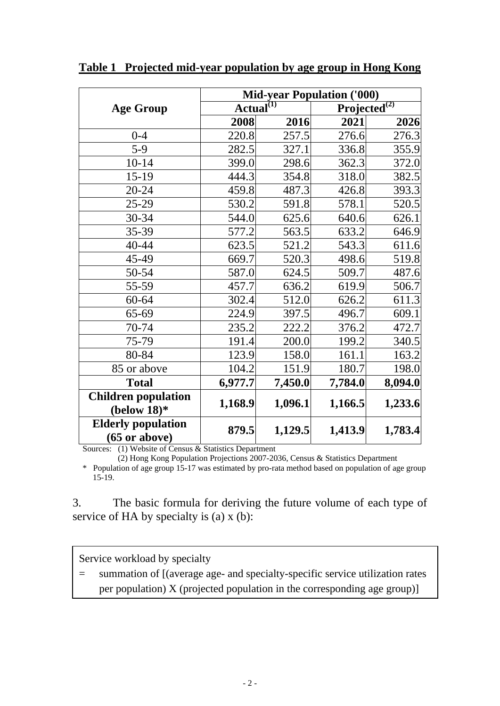|                                                      | <b>Mid-year Population ('000)</b> |         |                          |         |  |  |
|------------------------------------------------------|-----------------------------------|---------|--------------------------|---------|--|--|
| <b>Age Group</b>                                     | Actual $^{(1)}$                   |         | Projected <sup>(2)</sup> |         |  |  |
|                                                      | 2008                              | 2016    | 2021                     | 2026    |  |  |
| $0 - 4$                                              | 220.8                             | 257.5   | 276.6                    | 276.3   |  |  |
| $5-9$                                                | 282.5                             | 327.1   | 336.8                    | 355.9   |  |  |
| $10 - 14$                                            | 399.0                             | 298.6   | 362.3                    | 372.0   |  |  |
| $15-19$                                              | 444.3                             | 354.8   | 318.0                    | 382.5   |  |  |
| 20-24                                                | 459.8                             | 487.3   | 426.8                    | 393.3   |  |  |
| 25-29                                                | 530.2                             | 591.8   | 578.1                    | 520.5   |  |  |
| 30-34                                                | 544.0                             | 625.6   | 640.6                    | 626.1   |  |  |
| 35-39                                                | 577.2                             | 563.5   | 633.2                    | 646.9   |  |  |
| 40-44                                                | 623.5                             | 521.2   | 543.3                    | 611.6   |  |  |
| 45-49                                                | 669.7                             | 520.3   | 498.6                    | 519.8   |  |  |
| 50-54                                                | 587.0                             | 624.5   | 509.7                    | 487.6   |  |  |
| 55-59                                                | 457.7                             | 636.2   | 619.9                    | 506.7   |  |  |
| 60-64                                                | 302.4                             | 512.0   | 626.2                    | 611.3   |  |  |
| 65-69                                                | 224.9                             | 397.5   | 496.7                    | 609.1   |  |  |
| 70-74                                                | 235.2                             | 222.2   | 376.2                    | 472.7   |  |  |
| 75-79                                                | 191.4                             | 200.0   | 199.2                    | 340.5   |  |  |
| 80-84                                                | 123.9                             | 158.0   | 161.1                    | 163.2   |  |  |
| 85 or above                                          | 104.2                             | 151.9   | 180.7                    | 198.0   |  |  |
| <b>Total</b>                                         | 6,977.7                           | 7,450.0 | 7,784.0                  | 8,094.0 |  |  |
| <b>Children population</b><br>(below $18$ )*         | 1,168.9                           | 1,096.1 | 1,166.5                  | 1,233.6 |  |  |
| <b>Elderly population</b><br>$(65 \text{ or above})$ | 879.5                             | 1,129.5 | 1,413.9                  | 1,783.4 |  |  |

**Table 1 Projected mid-year population by age group in Hong Kong**

Sources: (1) Website of Census & Statistics Department

(2) Hong Kong Population Projections 2007-2036, Census & Statistics Department

\* Population of age group 15-17 was estimated by pro-rata method based on population of age group 15-19.

3. The basic formula for deriving the future volume of each type of service of HA by specialty is (a) x (b):

Service workload by specialty

= summation of [(average age- and specialty-specific service utilization rates

per population)  $X$  (projected population in the corresponding age group)]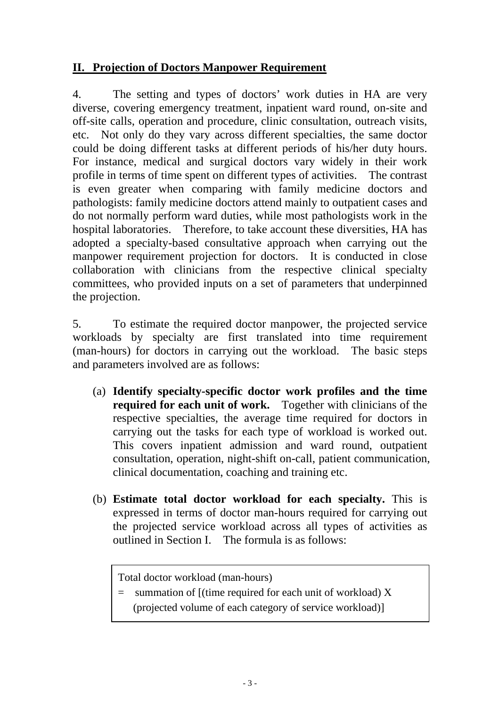# **II. Projection of Doctors Manpower Requirement**

4. The setting and types of doctors' work duties in HA are very diverse, covering emergency treatment, inpatient ward round, on-site and off-site calls, operation and procedure, clinic consultation, outreach visits, etc. Not only do they vary across different specialties, the same doctor could be doing different tasks at different periods of his/her duty hours. For instance, medical and surgical doctors vary widely in their work profile in terms of time spent on different types of activities. The contrast is even greater when comparing with family medicine doctors and pathologists: family medicine doctors attend mainly to outpatient cases and do not normally perform ward duties, while most pathologists work in the hospital laboratories. Therefore, to take account these diversities, HA has adopted a specialty-based consultative approach when carrying out the manpower requirement projection for doctors. It is conducted in close collaboration with clinicians from the respective clinical specialty committees, who provided inputs on a set of parameters that underpinned the projection.

5. To estimate the required doctor manpower, the projected service workloads by specialty are first translated into time requirement (man-hours) for doctors in carrying out the workload. The basic steps and parameters involved are as follows:

- (a) **Identify specialty-specific doctor work profiles and the time required for each unit of work.** Together with clinicians of the respective specialties, the average time required for doctors in carrying out the tasks for each type of workload is worked out. This covers inpatient admission and ward round, outpatient consultation, operation, night-shift on-call, patient communication, clinical documentation, coaching and training etc.
- (b) **Estimate total doctor workload for each specialty.** This is expressed in terms of doctor man-hours required for carrying out the projected service workload across all types of activities as outlined in Section I. The formula is as follows:

Total doctor workload (man-hours)

- $=$  summation of [(time required for each unit of workload) X
	- (projected volume of each category of service workload)]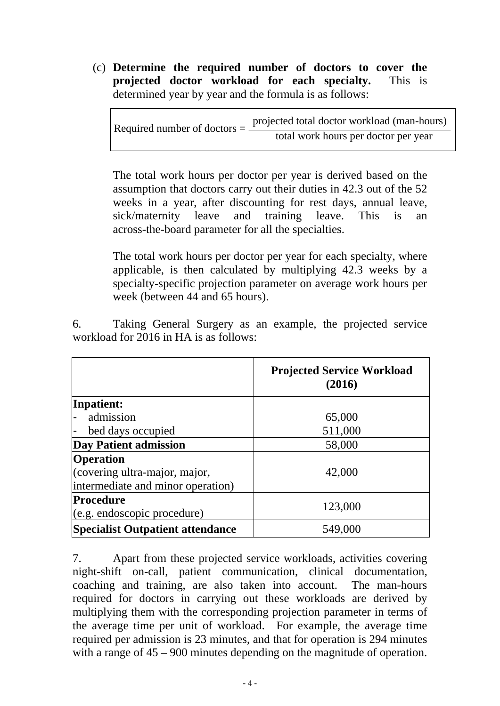(c) **Determine the required number of doctors to cover the projected doctor workload for each specialty.** This is determined year by year and the formula is as follows:

projected total doctor workload (man-hours) Required number of doctors  $=$   $\frac{1}{\text{total work hours per doctor per year}}$ 

The total work hours per doctor per year is derived based on the assumption that doctors carry out their duties in 42.3 out of the 52 weeks in a year, after discounting for rest days, annual leave, sick/maternity leave and training leave. This is an across-the-board parameter for all the specialties.

The total work hours per doctor per year for each specialty, where applicable, is then calculated by multiplying 42.3 weeks by a specialty-specific projection parameter on average work hours per week (between 44 and 65 hours).

6. Taking General Surgery as an example, the projected service workload for 2016 in HA is as follows:

|                                                 | <b>Projected Service Workload</b><br>(2016) |
|-------------------------------------------------|---------------------------------------------|
| Inpatient:                                      |                                             |
| admission                                       | 65,000                                      |
| bed days occupied                               | 511,000                                     |
| <b>Day Patient admission</b>                    | 58,000                                      |
| <b>Operation</b>                                |                                             |
| (covering ultra-major, major,                   | 42,000                                      |
| intermediate and minor operation)               |                                             |
| <b>Procedure</b><br>(e.g. endoscopic procedure) | 123,000                                     |
| <b>Specialist Outpatient attendance</b>         | 549,000                                     |

7. Apart from these projected service workloads, activities covering night-shift on-call, patient communication, clinical documentation, coaching and training, are also taken into account. The man-hours required for doctors in carrying out these workloads are derived by multiplying them with the corresponding projection parameter in terms of the average time per unit of workload. For example, the average time required per admission is 23 minutes, and that for operation is 294 minutes with a range of  $45 - 900$  minutes depending on the magnitude of operation.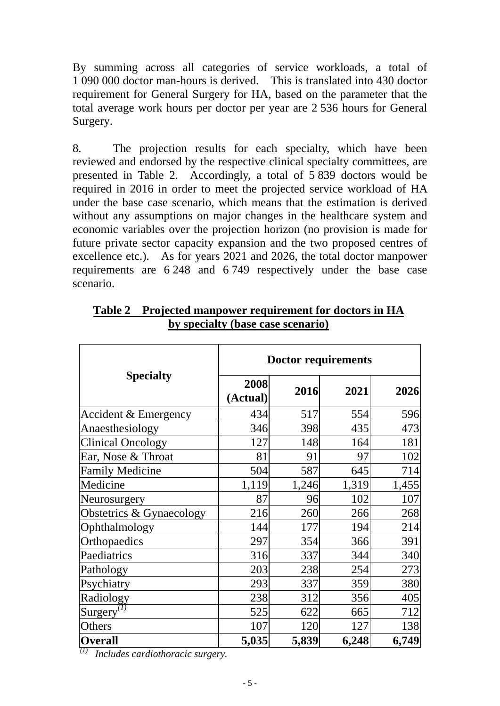By summing across all categories of service workloads, a total of 1 090 000 doctor man-hours is derived. This is translated into 430 doctor requirement for General Surgery for HA, based on the parameter that the total average work hours per doctor per year are 2 536 hours for General Surgery.

8. The projection results for each specialty, which have been reviewed and endorsed by the respective clinical specialty committees, are presented in Table 2. Accordingly, a total of 5 839 doctors would be required in 2016 in order to meet the projected service workload of HA under the base case scenario, which means that the estimation is derived without any assumptions on major changes in the healthcare system and economic variables over the projection horizon (no provision is made for future private sector capacity expansion and the two proposed centres of excellence etc.). As for years 2021 and 2026, the total doctor manpower requirements are 6 248 and 6 749 respectively under the base case scenario.

|                                                   | <b>Doctor requirements</b> |       |       |       |  |  |
|---------------------------------------------------|----------------------------|-------|-------|-------|--|--|
| <b>Specialty</b>                                  | 2008<br>(Actual)           | 2016  | 2021  | 2026  |  |  |
| Accident & Emergency                              | 434                        | 517   | 554   | 596   |  |  |
| Anaesthesiology                                   | 346                        | 398   | 435   | 473   |  |  |
| <b>Clinical Oncology</b>                          | 127                        | 148   | 164   | 181   |  |  |
| Ear, Nose & Throat                                | 81                         | 91    | 97    | 102   |  |  |
| <b>Family Medicine</b>                            | 504                        | 587   | 645   | 714   |  |  |
| Medicine                                          | 1,119                      | 1,246 | 1,319 | 1,455 |  |  |
| Neurosurgery                                      | 87                         | 96    | 102   | 107   |  |  |
| Obstetrics & Gynaecology                          | 216                        | 260   | 266   | 268   |  |  |
| Ophthalmology                                     | 144                        | 177   | 194   | 214   |  |  |
| Orthopaedics                                      | 297                        | 354   | 366   | 391   |  |  |
| Paediatrics                                       | 316                        | 337   | 344   | 340   |  |  |
| Pathology                                         | 203                        | 238   | 254   | 273   |  |  |
| Psychiatry                                        | 293                        | 337   | 359   | 380   |  |  |
| Radiology                                         | 238                        | 312   | 356   | 405   |  |  |
| Surgery <sup><math>\overline{^{(1)}}</math></sup> | 525                        | 622   | 665   | 712   |  |  |
| Others                                            | 107                        | 120   | 127   | 138   |  |  |
| <b>Overall</b>                                    | 5,035                      | 5,839 | 6,248 | 6,749 |  |  |

**Table 2 Projected manpower requirement for doctors in HA by specialty (base case scenario)**

*(1) Includes cardiothoracic surgery.*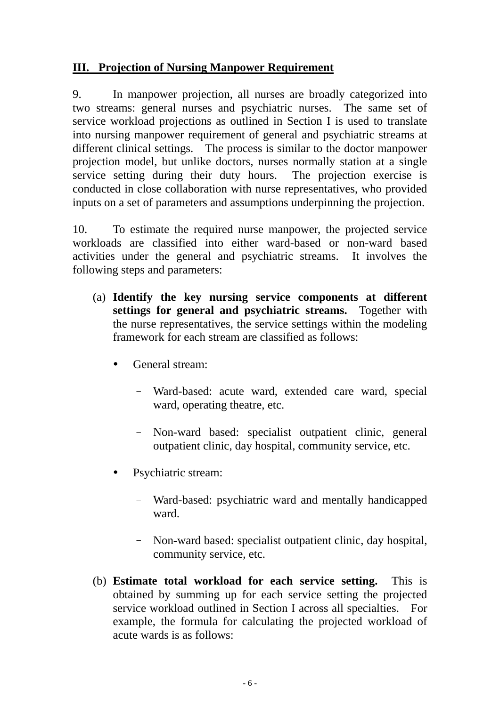## **III. Projection of Nursing Manpower Requirement**

9. In manpower projection, all nurses are broadly categorized into two streams: general nurses and psychiatric nurses. The same set of service workload projections as outlined in Section I is used to translate into nursing manpower requirement of general and psychiatric streams at different clinical settings. The process is similar to the doctor manpower projection model, but unlike doctors, nurses normally station at a single service setting during their duty hours. The projection exercise is conducted in close collaboration with nurse representatives, who provided inputs on a set of parameters and assumptions underpinning the projection.

10. To estimate the required nurse manpower, the projected service workloads are classified into either ward-based or non-ward based activities under the general and psychiatric streams. It involves the following steps and parameters:

- (a) **Identify the key nursing service components at different settings for general and psychiatric streams.** Together with the nurse representatives, the service settings within the modeling framework for each stream are classified as follows:
	- General stream:
		- Ward-based: acute ward, extended care ward, special ward, operating theatre, etc.
		- Non-ward based: specialist outpatient clinic, general outpatient clinic, day hospital, community service, etc.
	- Psychiatric stream:
		- Ward-based: psychiatric ward and mentally handicapped ward.
		- Non-ward based: specialist outpatient clinic, day hospital, community service, etc.
- (b) **Estimate total workload for each service setting.** This is obtained by summing up for each service setting the projected service workload outlined in Section I across all specialties. For example, the formula for calculating the projected workload of acute wards is as follows: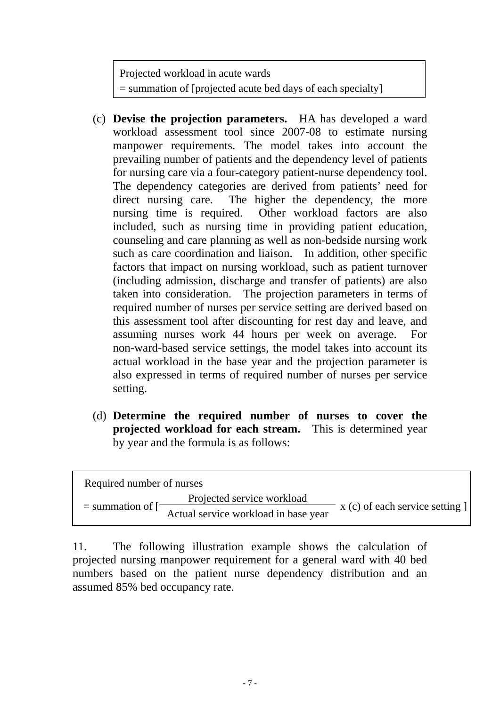Projected workload in acute wards = summation of [projected acute bed days of each specialty]

- (c) **Devise the projection parameters.** HA has developed a ward workload assessment tool since 2007-08 to estimate nursing manpower requirements. The model takes into account the prevailing number of patients and the dependency level of patients for nursing care via a four-category patient-nurse dependency tool. The dependency categories are derived from patients' need for direct nursing care. The higher the dependency, the more nursing time is required. Other workload factors are also included, such as nursing time in providing patient education, counseling and care planning as well as non-bedside nursing work such as care coordination and liaison. In addition, other specific factors that impact on nursing workload, such as patient turnover (including admission, discharge and transfer of patients) are also taken into consideration. The projection parameters in terms of required number of nurses per service setting are derived based on this assessment tool after discounting for rest day and leave, and assuming nurses work 44 hours per week on average. For non-ward-based service settings, the model takes into account its actual workload in the base year and the projection parameter is also expressed in terms of required number of nurses per service setting.
- (d) **Determine the required number of nurses to cover the projected workload for each stream.** This is determined year by year and the formula is as follows:

| Required number of nurses |                                      |                                     |  |
|---------------------------|--------------------------------------|-------------------------------------|--|
|                           | Projected service workload           |                                     |  |
| $=$ summation of $\Box$   | Actual service workload in base year | $x(c)$ of each service setting $  $ |  |

11. The following illustration example shows the calculation of projected nursing manpower requirement for a general ward with 40 bed numbers based on the patient nurse dependency distribution and an assumed 85% bed occupancy rate.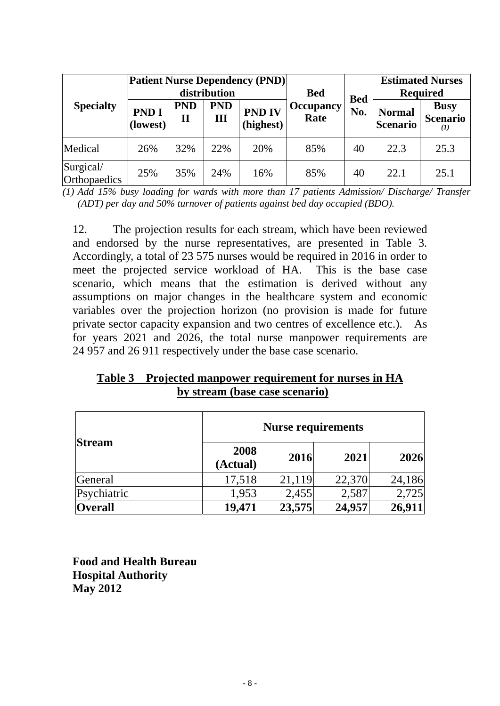|                           | <b>Patient Nurse Dependency (PND)</b><br>distribution |                            |                 |                            | <b>Bed</b>               |                   | <b>Estimated Nurses</b><br><b>Required</b> |                                            |
|---------------------------|-------------------------------------------------------|----------------------------|-----------------|----------------------------|--------------------------|-------------------|--------------------------------------------|--------------------------------------------|
| <b>Specialty</b>          | <b>PND I</b><br>(lowest)                              | <b>PND</b><br>$\mathbf{I}$ | <b>PND</b><br>Ш | <b>PND IV</b><br>(highest) | <b>Occupancy</b><br>Rate | <b>Bed</b><br>No. | <b>Normal</b><br><b>Scenario</b>           | <b>Busy</b><br><b>Scenario</b><br>$\bf(I)$ |
| Medical                   | 26%                                                   | 32%                        | 22%             | 20%                        | 85%                      | 40                | 22.3                                       | 25.3                                       |
| Surgical/<br>Orthopaedics | 25%                                                   | 35%                        | 24%             | 16%                        | 85%                      | 40                | 22.1                                       | 25.1                                       |

*(1) Add 15% busy loading for wards with more than 17 patients Admission/ Discharge/ Transfer (ADT) per day and 50% turnover of patients against bed day occupied (BDO).* 

12. The projection results for each stream, which have been reviewed and endorsed by the nurse representatives, are presented in Table 3. Accordingly, a total of 23 575 nurses would be required in 2016 in order to meet the projected service workload of HA. This is the base case scenario, which means that the estimation is derived without any assumptions on major changes in the healthcare system and economic variables over the projection horizon (no provision is made for future private sector capacity expansion and two centres of excellence etc.). As for years 2021 and 2026, the total nurse manpower requirements are 24 957 and 26 911 respectively under the base case scenario.

**Table 3 Projected manpower requirement for nurses in HA by stream (base case scenario)**

|                |                  | <b>Nurse requirements</b> |        |        |  |  |  |
|----------------|------------------|---------------------------|--------|--------|--|--|--|
| <b>Stream</b>  | 2008<br>(Actual) | 2016                      | 2021   | 2026   |  |  |  |
| General        | 17,518           | 21,119                    | 22,370 | 24,186 |  |  |  |
| Psychiatric    | 1,953            | 2,455                     | 2,587  | 2,725  |  |  |  |
| <b>Overall</b> | 19,471           | 23,575                    | 24,957 | 26,911 |  |  |  |

**Food and Health Bureau Hospital Authority May 2012**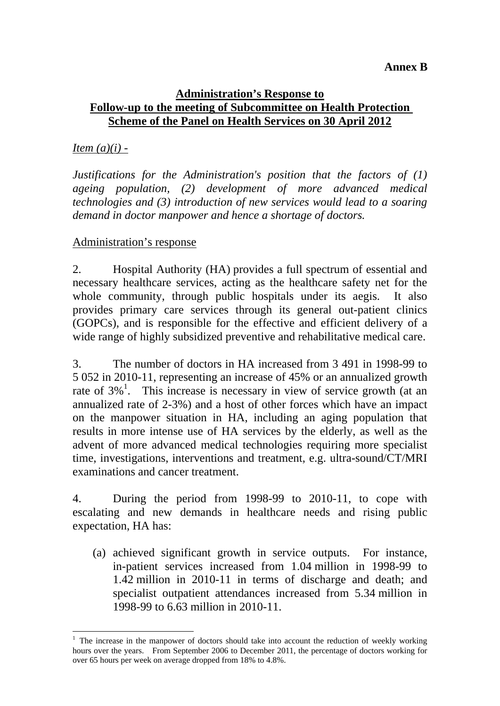#### **Annex B**

## **Administration's Response to Follow-up to the meeting of Subcommittee on Health Protection Scheme of the Panel on Health Services on 30 April 2012**

## *Item (a)(i) -*

*Justifications for the Administration's position that the factors of (1) ageing population, (2) development of more advanced medical technologies and (3) introduction of new services would lead to a soaring demand in doctor manpower and hence a shortage of doctors.* 

## Administration's response

2. Hospital Authority (HA) provides a full spectrum of essential and necessary healthcare services, acting as the healthcare safety net for the whole community, through public hospitals under its aegis. It also provides primary care services through its general out-patient clinics (GOPCs), and is responsible for the effective and efficient delivery of a wide range of highly subsidized preventive and rehabilitative medical care.

3. The number of doctors in HA increased from 3 491 in 1998-99 to 5 052 in 2010-11, representing an increase of 45% or an annualized growth rate of  $3\%$ <sup>1</sup>. This increase is necessary in view of service growth (at an annualized rate of 2-3%) and a host of other forces which have an impact on the manpower situation in HA, including an aging population that results in more intense use of HA services by the elderly, as well as the advent of more advanced medical technologies requiring more specialist time, investigations, interventions and treatment, e.g. ultra-sound/CT/MRI examinations and cancer treatment.

4. During the period from 1998-99 to 2010-11, to cope with escalating and new demands in healthcare needs and rising public expectation, HA has:

(a) achieved significant growth in service outputs. For instance, in-patient services increased from 1.04 million in 1998-99 to 1.42 million in 2010-11 in terms of discharge and death; and specialist outpatient attendances increased from 5.34 million in 1998-99 to 6.63 million in 2010-11.

 $\overline{a}$ <sup>1</sup> The increase in the manpower of doctors should take into account the reduction of weekly working hours over the years. From September 2006 to December 2011, the percentage of doctors working for over 65 hours per week on average dropped from 18% to 4.8%.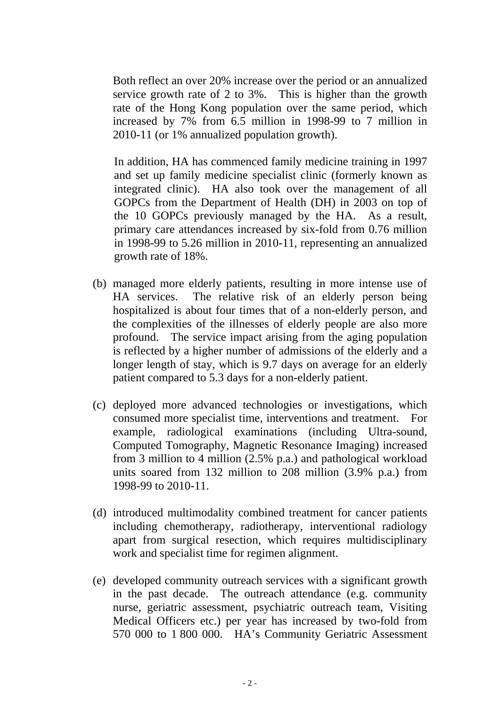Both reflect an over 20% increase over the period or an annualized service growth rate of 2 to 3%. This is higher than the growth rate of the Hong Kong population over the same period, which increased by 7% from 6.5 million in 1998-99 to 7 million in 2010-11 (or 1% annualized population growth).

In addition, HA has commenced family medicine training in 1997 and set up family medicine specialist clinic (formerly known as integrated clinic). HA also took over the management of all GOPCs from the Department of Health (DH) in 2003 on top of the 10 GOPCs previously managed by the HA. As a result, primary care attendances increased by six-fold from 0.76 million in 1998-99 to 5.26 million in 2010-11, representing an annualized growth rate of 18%.

- (b) managed more elderly patients, resulting in more intense use of HA services. The relative risk of an elderly person being hospitalized is about four times that of a non-elderly person, and the complexities of the illnesses of elderly people are also more profound. The service impact arising from the aging population is reflected by a higher number of admissions of the elderly and a longer length of stay, which is 9.7 days on average for an elderly patient compared to 5.3 days for a non-elderly patient.
- (c) deployed more advanced technologies or investigations, which consumed more specialist time, interventions and treatment. For example, radiological examinations (including Ultra-sound, Computed Tomography, Magnetic Resonance Imaging) increased from 3 million to 4 million (2.5% p.a.) and pathological workload units soared from 132 million to 208 million (3.9% p.a.) from 1998-99 to 2010-11.
- (d) introduced multimodality combined treatment for cancer patients including chemotherapy, radiotherapy, interventional radiology apart from surgical resection, which requires multidisciplinary work and specialist time for regimen alignment.
- (e) developed community outreach services with a significant growth in the past decade. The outreach attendance (e.g. community nurse, geriatric assessment, psychiatric outreach team, Visiting Medical Officers etc.) per year has increased by two-fold from 570 000 to 1 800 000. HA's Community Geriatric Assessment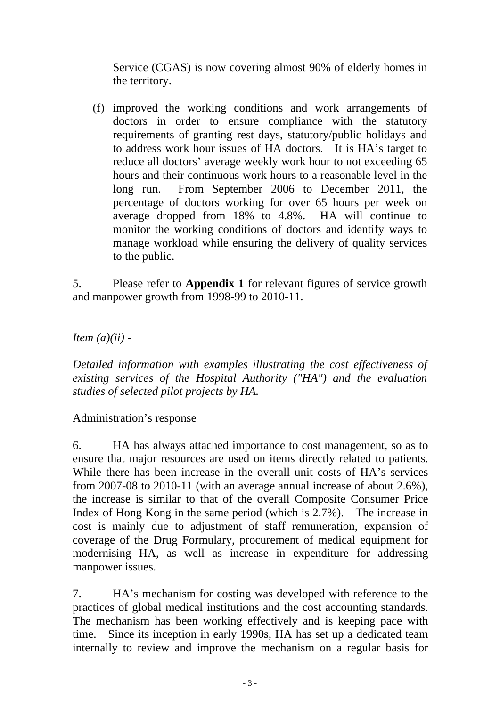Service (CGAS) is now covering almost 90% of elderly homes in the territory.

(f) improved the working conditions and work arrangements of doctors in order to ensure compliance with the statutory requirements of granting rest days, statutory/public holidays and to address work hour issues of HA doctors. It is HA's target to reduce all doctors' average weekly work hour to not exceeding 65 hours and their continuous work hours to a reasonable level in the long run. From September 2006 to December 2011, the percentage of doctors working for over 65 hours per week on average dropped from 18% to 4.8%. HA will continue to monitor the working conditions of doctors and identify ways to manage workload while ensuring the delivery of quality services to the public.

5. Please refer to **Appendix 1** for relevant figures of service growth and manpower growth from 1998-99 to 2010-11.

# *Item (a)(ii) -*

*Detailed information with examples illustrating the cost effectiveness of existing services of the Hospital Authority ("HA") and the evaluation studies of selected pilot projects by HA.* 

## Administration's response

6. HA has always attached importance to cost management, so as to ensure that major resources are used on items directly related to patients. While there has been increase in the overall unit costs of HA's services from 2007-08 to 2010-11 (with an average annual increase of about 2.6%), the increase is similar to that of the overall Composite Consumer Price Index of Hong Kong in the same period (which is 2.7%). The increase in cost is mainly due to adjustment of staff remuneration, expansion of coverage of the Drug Formulary, procurement of medical equipment for modernising HA, as well as increase in expenditure for addressing manpower issues.

7. HA's mechanism for costing was developed with reference to the practices of global medical institutions and the cost accounting standards. The mechanism has been working effectively and is keeping pace with time. Since its inception in early 1990s, HA has set up a dedicated team internally to review and improve the mechanism on a regular basis for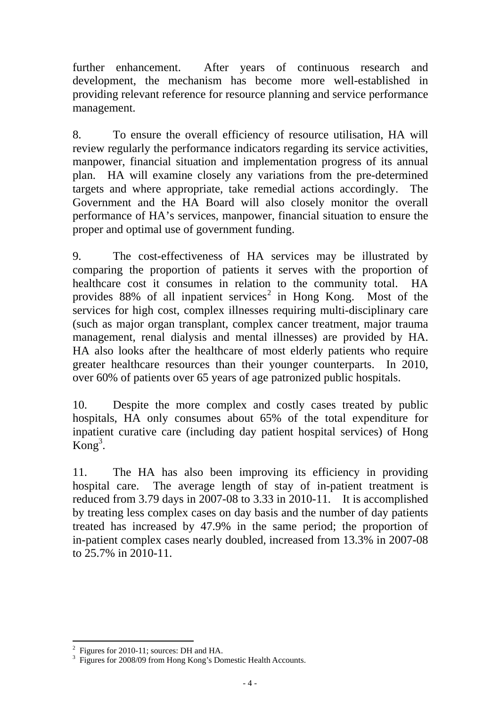further enhancement. After years of continuous research and development, the mechanism has become more well-established in providing relevant reference for resource planning and service performance management.

8. To ensure the overall efficiency of resource utilisation, HA will review regularly the performance indicators regarding its service activities, manpower, financial situation and implementation progress of its annual plan. HA will examine closely any variations from the pre-determined targets and where appropriate, take remedial actions accordingly. The Government and the HA Board will also closely monitor the overall performance of HA's services, manpower, financial situation to ensure the proper and optimal use of government funding.

9. The cost-effectiveness of HA services may be illustrated by comparing the proportion of patients it serves with the proportion of healthcare cost it consumes in relation to the community total. HA provides  $88\%$  of all inpatient services<sup>2</sup> in Hong Kong. Most of the services for high cost, complex illnesses requiring multi-disciplinary care (such as major organ transplant, complex cancer treatment, major trauma management, renal dialysis and mental illnesses) are provided by HA. HA also looks after the healthcare of most elderly patients who require greater healthcare resources than their younger counterparts. In 2010, over 60% of patients over 65 years of age patronized public hospitals.

10. Despite the more complex and costly cases treated by public hospitals, HA only consumes about 65% of the total expenditure for inpatient curative care (including day patient hospital services) of Hong  $\mathrm{Kong}^3$ .

11. The HA has also been improving its efficiency in providing hospital care. The average length of stay of in-patient treatment is reduced from 3.79 days in 2007-08 to 3.33 in 2010-11. It is accomplished by treating less complex cases on day basis and the number of day patients treated has increased by 47.9% in the same period; the proportion of in-patient complex cases nearly doubled, increased from 13.3% in 2007-08 to 25.7% in 2010-11.

 $\overline{a}$ 2 Figures for 2010-11; sources: DH and HA.

<sup>3</sup> Figures for 2008/09 from Hong Kong's Domestic Health Accounts.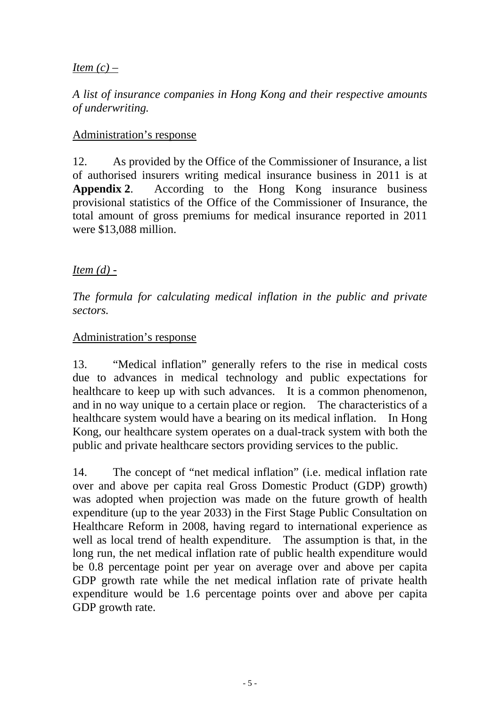# *Item (c) –*

*A list of insurance companies in Hong Kong and their respective amounts of underwriting.* 

#### Administration's response

12. As provided by the Office of the Commissioner of Insurance, a list of authorised insurers writing medical insurance business in 2011 is at **Appendix 2**. According to the Hong Kong insurance business provisional statistics of the Office of the Commissioner of Insurance, the total amount of gross premiums for medical insurance reported in 2011 were \$13,088 million.

## *Item (d) -*

*The formula for calculating medical inflation in the public and private sectors.* 

## Administration's response

13. "Medical inflation" generally refers to the rise in medical costs due to advances in medical technology and public expectations for healthcare to keep up with such advances. It is a common phenomenon, and in no way unique to a certain place or region. The characteristics of a healthcare system would have a bearing on its medical inflation. In Hong Kong, our healthcare system operates on a dual-track system with both the public and private healthcare sectors providing services to the public.

14. The concept of "net medical inflation" (i.e. medical inflation rate over and above per capita real Gross Domestic Product (GDP) growth) was adopted when projection was made on the future growth of health expenditure (up to the year 2033) in the First Stage Public Consultation on Healthcare Reform in 2008, having regard to international experience as well as local trend of health expenditure. The assumption is that, in the long run, the net medical inflation rate of public health expenditure would be 0.8 percentage point per year on average over and above per capita GDP growth rate while the net medical inflation rate of private health expenditure would be 1.6 percentage points over and above per capita GDP growth rate.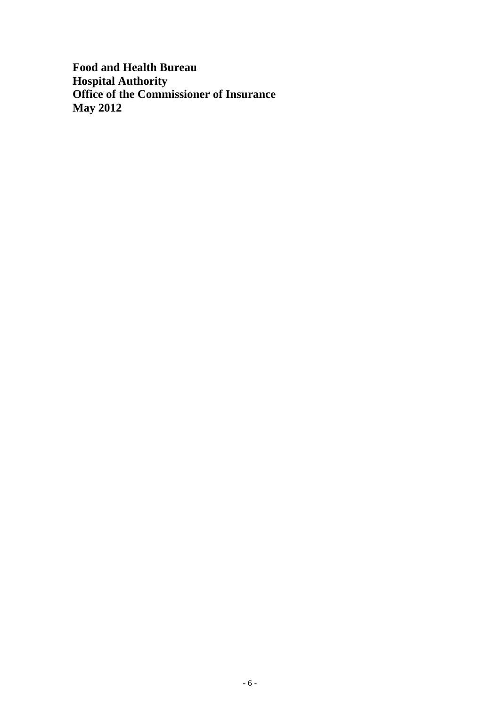**Food and Health Bureau Hospital Authority Office of the Commissioner of Insurance May 2012**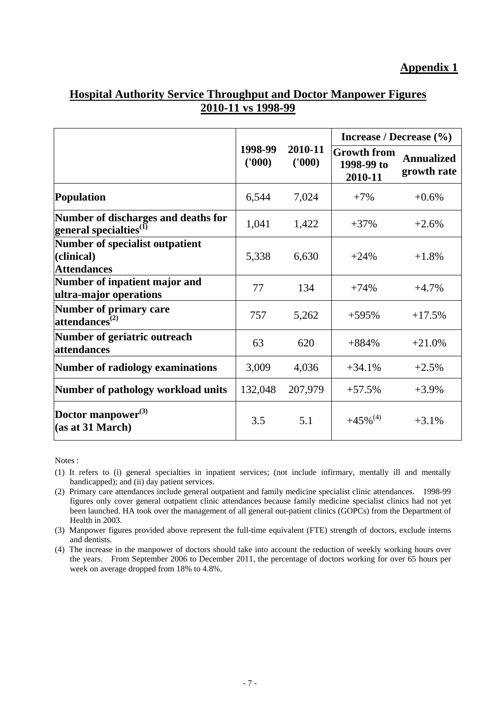#### **Appendix 1**

## **Hospital Authority Service Throughput and Doctor Manpower Figures 2010-11 vs 1998-99**

|                                                                       |                  |                  | Increase / Decrease (%)                     |                                  |  |
|-----------------------------------------------------------------------|------------------|------------------|---------------------------------------------|----------------------------------|--|
|                                                                       | 1998-99<br>(000) | 2010-11<br>(000) | <b>Growth from</b><br>1998-99 to<br>2010-11 | <b>Annualized</b><br>growth rate |  |
| <b>Population</b>                                                     | 6,544            | 7,024            | $+7%$                                       | $+0.6%$                          |  |
| Number of discharges and deaths for<br>general specialties ${}^{(1)}$ | 1,041            | 1,422            | $+37%$                                      | $+2.6%$                          |  |
| Number of specialist outpatient<br>(clinical)<br><b>Attendances</b>   | 5,338            | 6,630            | $+24%$                                      | $+1.8%$                          |  |
| Number of inpatient major and<br>ultra-major operations               | 77               | 134              | $+74%$                                      | $+4.7%$                          |  |
| Number of primary care<br>$\mathbf{attendances}^{(2)}$                | 757              | 5,262            | $+595%$                                     | $+17.5%$                         |  |
| Number of geriatric outreach<br>attendances                           | 63               | 620              | $+884%$                                     | $+21.0%$                         |  |
| <b>Number of radiology examinations</b>                               | 3,009            | 4,036            | $+34.1%$                                    | $+2.5%$                          |  |
| Number of pathology workload units                                    | 132,048          | 207,979          | $+57.5%$                                    | $+3.9\%$                         |  |
| Doctor manpower <sup>(3)</sup><br>(as at 31 March)                    | 3.5              | 5.1              | $+45\%^{(4)}$                               | $+3.1%$                          |  |

Notes :

(1) It refers to (i) general specialties in inpatient services; (not include infirmary, mentally ill and mentally handicapped); and (ii) day patient services.

(2) Primary care attendances include general outpatient and family medicine specialist clinic attendances. 1998-99 figures only cover general outpatient clinic attendances because family medicine specialist clinics had not yet been launched. HA took over the management of all general out-patient clinics (GOPCs) from the Department of Health in 2003.

(3) Manpower figures provided above represent the full-time equivalent (FTE) strength of doctors, exclude interns and dentists.

(4) The increase in the manpower of doctors should take into account the reduction of weekly working hours over the years. From September 2006 to December 2011, the percentage of doctors working for over 65 hours per week on average dropped from 18% to 4.8%.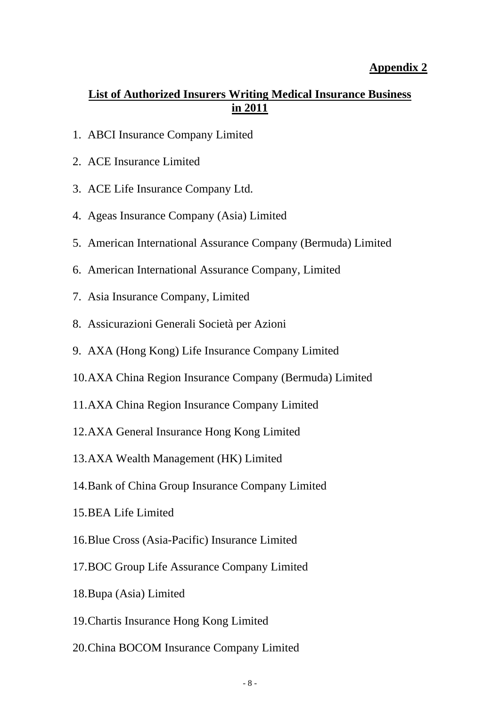#### **Appendix 2**

# **List of Authorized Insurers Writing Medical Insurance Business in 2011**

- 1. ABCI Insurance Company Limited
- 2. ACE Insurance Limited
- 3. ACE Life Insurance Company Ltd.
- 4. Ageas Insurance Company (Asia) Limited
- 5. American International Assurance Company (Bermuda) Limited
- 6. American International Assurance Company, Limited
- 7. Asia Insurance Company, Limited
- 8. Assicurazioni Generali Società per Azioni
- 9. AXA (Hong Kong) Life Insurance Company Limited
- 10.AXA China Region Insurance Company (Bermuda) Limited
- 11.AXA China Region Insurance Company Limited
- 12.AXA General Insurance Hong Kong Limited
- 13.AXA Wealth Management (HK) Limited
- 14.Bank of China Group Insurance Company Limited
- 15.BEA Life Limited
- 16.Blue Cross (Asia-Pacific) Insurance Limited
- 17.BOC Group Life Assurance Company Limited
- 18.Bupa (Asia) Limited
- 19.Chartis Insurance Hong Kong Limited
- 20.China BOCOM Insurance Company Limited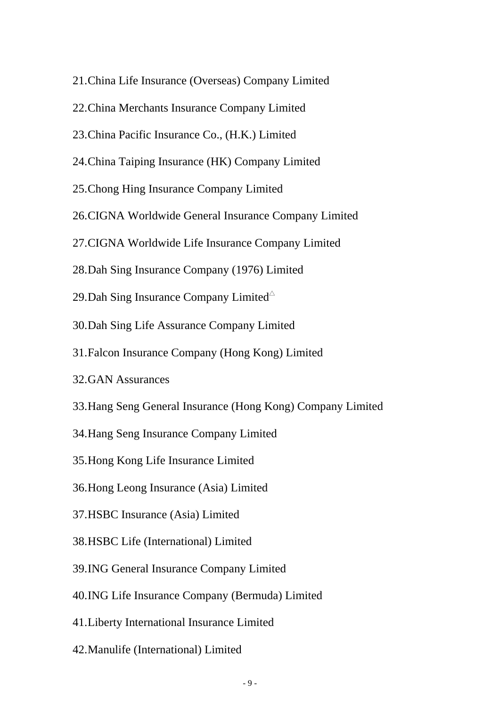- 21.China Life Insurance (Overseas) Company Limited
- 22.China Merchants Insurance Company Limited
- 23.China Pacific Insurance Co., (H.K.) Limited
- 24.China Taiping Insurance (HK) Company Limited
- 25.Chong Hing Insurance Company Limited
- 26.CIGNA Worldwide General Insurance Company Limited
- 27.CIGNA Worldwide Life Insurance Company Limited
- 28.Dah Sing Insurance Company (1976) Limited
- 29.Dah Sing Insurance Company Limited $\triangle$
- 30.Dah Sing Life Assurance Company Limited
- 31.Falcon Insurance Company (Hong Kong) Limited
- 32.GAN Assurances
- 33.Hang Seng General Insurance (Hong Kong) Company Limited
- 34.Hang Seng Insurance Company Limited
- 35.Hong Kong Life Insurance Limited
- 36.Hong Leong Insurance (Asia) Limited
- 37.HSBC Insurance (Asia) Limited
- 38.HSBC Life (International) Limited
- 39.ING General Insurance Company Limited
- 40.ING Life Insurance Company (Bermuda) Limited
- 41.Liberty International Insurance Limited
- 42.Manulife (International) Limited